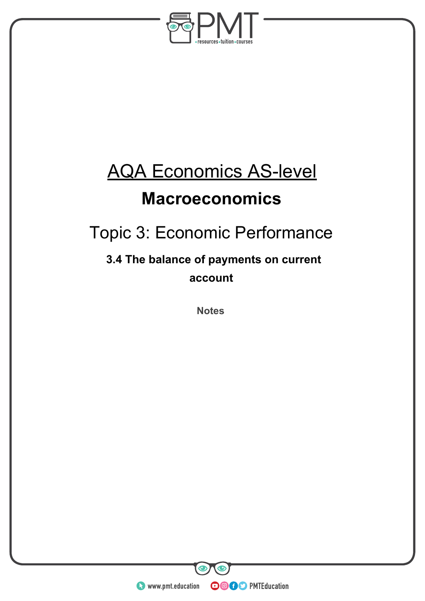

# AQA Economics AS-level

## **Macroeconomics**

## Topic 3: Economic Performance

## **3.4 The balance of payments on current account**

**Notes** 

**WWW.pmt.education** 

 $\bullet$ 

**OOOO** PMTEducation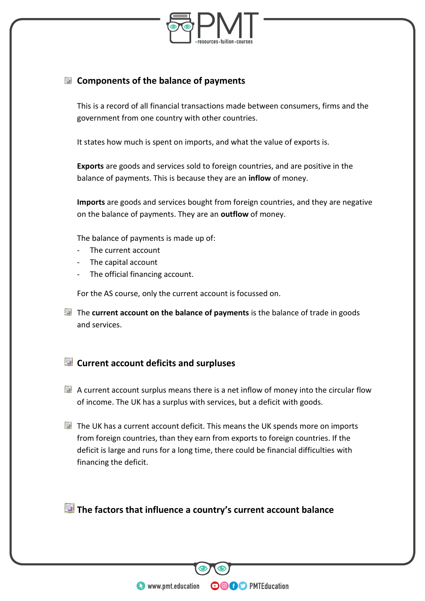

### **Components of the balance of payments**

This is a record of all financial transactions made between consumers, firms and the government from one country with other countries.

It states how much is spent on imports, and what the value of exports is.

**Exports** are goods and services sold to foreign countries, and are positive in the balance of payments. This is because they are an **inflow** of money.

**Imports** are goods and services bought from foreign countries, and they are negative on the balance of payments. They are an **outflow** of money.

The balance of payments is made up of:

- The current account
- The capital account
- The official financing account.

For the AS course, only the current account is focussed on.

The **current account on the balance of payments** is the balance of trade in goods and services.

### **Current account deficits and surpluses**

- $\blacksquare$  A current account surplus means there is a net inflow of money into the circular flow of income. The UK has a surplus with services, but a deficit with goods.
- $\blacksquare$  The UK has a current account deficit. This means the UK spends more on imports from foreign countries, than they earn from exports to foreign countries. If the deficit is large and runs for a long time, there could be financial difficulties with financing the deficit.

**The factors that influence a country's current account balance**

**OOOO** PMTEducation